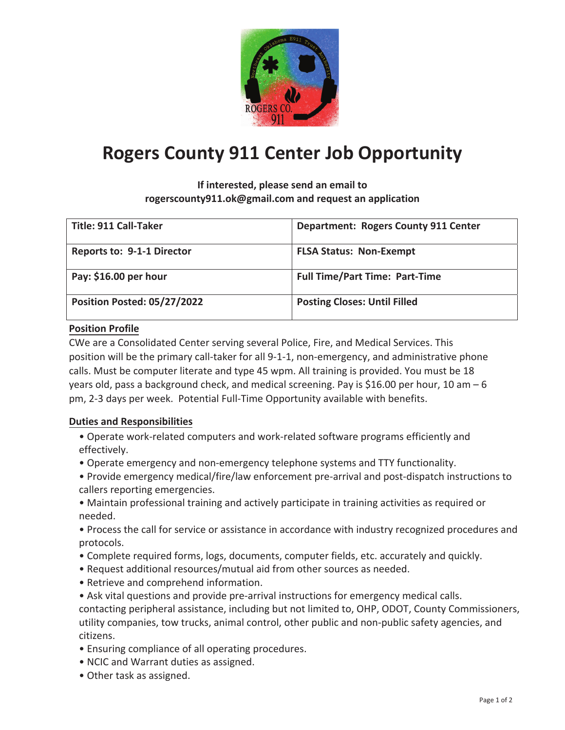

# **Rogers County 911 Center Job Opportunity**

**If interested, please send an email to rogerscounty911.ok@gmail.com and request an application**

| <b>Title: 911 Call-Taker</b>       | <b>Department: Rogers County 911 Center</b> |
|------------------------------------|---------------------------------------------|
| <b>Reports to: 9-1-1 Director</b>  | <b>FLSA Status: Non-Exempt</b>              |
| Pay: \$16.00 per hour              | <b>Full Time/Part Time: Part-Time</b>       |
| <b>Position Posted: 05/27/2022</b> | <b>Posting Closes: Until Filled</b>         |

#### **Position Profile**

CWe are a Consolidated Center serving several Police, Fire, and Medical Services. This position will be the primary call-taker for all 9-1-1, non-emergency, and administrative phone calls. Must be computer literate and type 45 wpm. All training is provided. You must be 18 years old, pass a background check, and medical screening. Pay is \$16.00 per hour, 10 am – 6 pm, 2-3 days per week. Potential Full-Time Opportunity available with benefits.

#### **Duties and Responsibilities**

- Operate work-related computers and work-related software programs efficiently and effectively.
- Operate emergency and non-emergency telephone systems and TTY functionality.
- Provide emergency medical/fire/law enforcement pre-arrival and post-dispatch instructions to callers reporting emergencies.
- Maintain professional training and actively participate in training activities as required or needed.
- Process the call for service or assistance in accordance with industry recognized procedures and protocols.
- Complete required forms, logs, documents, computer fields, etc. accurately and quickly.
- Request additional resources/mutual aid from other sources as needed.
- Retrieve and comprehend information.
- Ask vital questions and provide pre-arrival instructions for emergency medical calls. contacting peripheral assistance, including but not limited to, OHP, ODOT, County Commissioners, utility companies, tow trucks, animal control, other public and non-public safety agencies, and citizens.
- Ensuring compliance of all operating procedures.
- NCIC and Warrant duties as assigned.
- Other task as assigned.